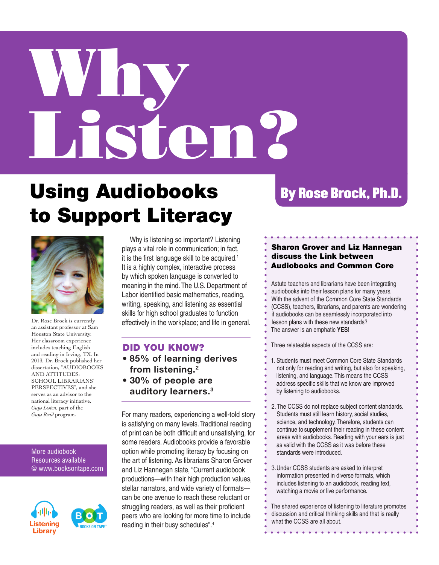# Why Listen?

# Using Audiobooks to Support Literacy



Dr. Rose Brock is currently an assistant professor at Sam Houston State University. Her classroom experience includes teaching English and reading in Irving, TX. In 2013, Dr. Brock published her dissertation, "AUDIOBOOKS AND ATTITUDES: SCHOOL LIBRARIANS' PERSPECTIVES", and she serves as an advisor to the national literacy initiative, *Guys Listen*, part of the *Guys Read* program.

### More audiobook Resources available @ www.booksontape.com





 Why is listening so important? Listening plays a vital role in communication; in fact, it is the first language skill to be acquired.<sup>1</sup> It is a highly complex, interactive process by which spoken language is converted to meaning in the mind. The U.S. Department of Labor identified basic mathematics, reading, writing, speaking, and listening as essential skills for high school graduates to function effectively in the workplace; and life in general.

# DID YOU KNOW?

- **85% of learning derives from listening.2**
- **30% of people are auditory learners.3**

For many readers, experiencing a well-told story is satisfying on many levels. Traditional reading of print can be both difficult and unsatisfying, for some readers. Audiobooks provide a favorable option while promoting literacy by focusing on the art of listening. As librarians Sharon Grover and Liz Hannegan state, "Current audiobook productions—with their high production values, stellar narrators, and wide variety of formats can be one avenue to reach these reluctant or struggling readers, as well as their proficient peers who are looking for more time to include reading in their busy schedules".4

# By Rose Brock, Ph.D.

## Sharon Grover and Liz Hannegan discuss the Link between Audiobooks and Common Core

Astute teachers and librarians have been integrating audiobooks into their lesson plans for many years. With the advent of the Common Core State Standards (CCSS), teachers, librarians, and parents are wondering if audiobooks can be seamlessly incorporated into lesson plans with these new standards? The answer is an emphatic **YES**!

Three relateable aspects of the CCSS are:

1. Students must meet Common Core State Standards not only for reading and writing, but also for speaking, listening, and language. This means the CCSS address specific skills that we know are improved

by listening to audiobooks.

2. The CCSS do not replace subject content standards. Students must still learn history, social studies, science, and technology. Therefore, students can continue to supplement their reading in these content areas with audiobooks. Reading with your ears is just as valid with the CCSS as it was before these standards were introduced.

3. Under CCSS students are asked to interpret information presented in diverse formats, which includes listening to an audiobook, reading text, watching a movie or live performance.

The shared experience of listening to literature promotes discussion and critical thinking skills and that is really what the CCSS are all about.

. . . . . . . . . . . . . . . .